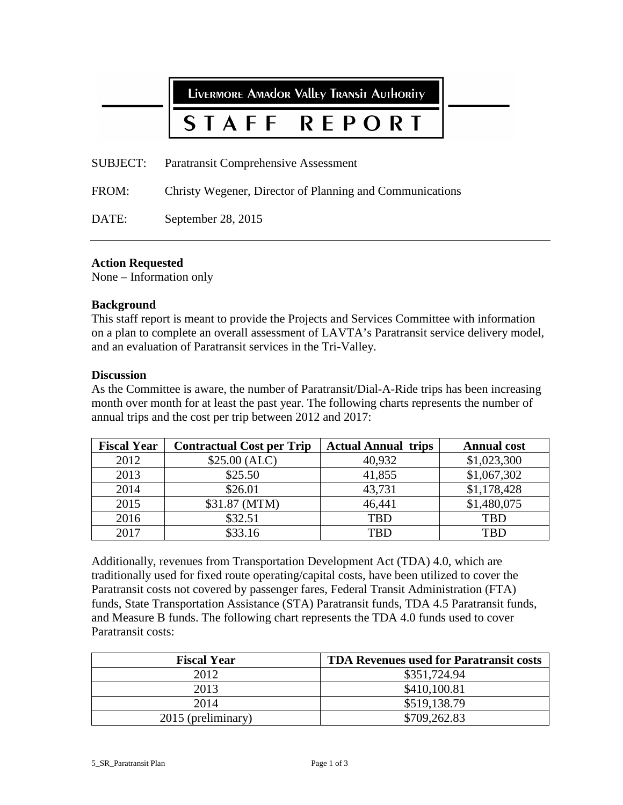LIVERMORE AMAdOR VAllEY TRANSIT AUTHORITY REPORT STAFF SUBJECT: Paratransit Comprehensive Assessment FROM: Christy Wegener, Director of Planning and Communications

DATE: September 28, 2015

# **Action Requested**

None – Information only

#### **Background**

This staff report is meant to provide the Projects and Services Committee with information on a plan to complete an overall assessment of LAVTA's Paratransit service delivery model, and an evaluation of Paratransit services in the Tri-Valley.

## **Discussion**

As the Committee is aware, the number of Paratransit/Dial-A-Ride trips has been increasing month over month for at least the past year. The following charts represents the number of annual trips and the cost per trip between 2012 and 2017:

| <b>Fiscal Year</b> | <b>Contractual Cost per Trip</b> | <b>Actual Annual trips</b> | <b>Annual cost</b> |
|--------------------|----------------------------------|----------------------------|--------------------|
| 2012               | \$25.00 (ALC)                    | 40,932                     | \$1,023,300        |
| 2013               | \$25.50                          | 41,855                     | \$1,067,302        |
| 2014               | \$26.01                          | 43,731                     | \$1,178,428        |
| 2015               | \$31.87 (MTM)                    | 46,441                     | \$1,480,075        |
| 2016               | \$32.51                          | <b>TBD</b>                 | <b>TBD</b>         |
| 2017               | \$33.16                          | TRD                        | TRD                |

Additionally, revenues from Transportation Development Act (TDA) 4.0, which are traditionally used for fixed route operating/capital costs, have been utilized to cover the Paratransit costs not covered by passenger fares, Federal Transit Administration (FTA) funds, State Transportation Assistance (STA) Paratransit funds, TDA 4.5 Paratransit funds, and Measure B funds. The following chart represents the TDA 4.0 funds used to cover Paratransit costs:

| <b>Fiscal Year</b> | <b>TDA Revenues used for Paratransit costs</b> |
|--------------------|------------------------------------------------|
| 2012               | \$351,724.94                                   |
| 2013               | \$410,100.81                                   |
| 2014               | \$519,138.79                                   |
| 2015 (preliminary) | \$709,262.83                                   |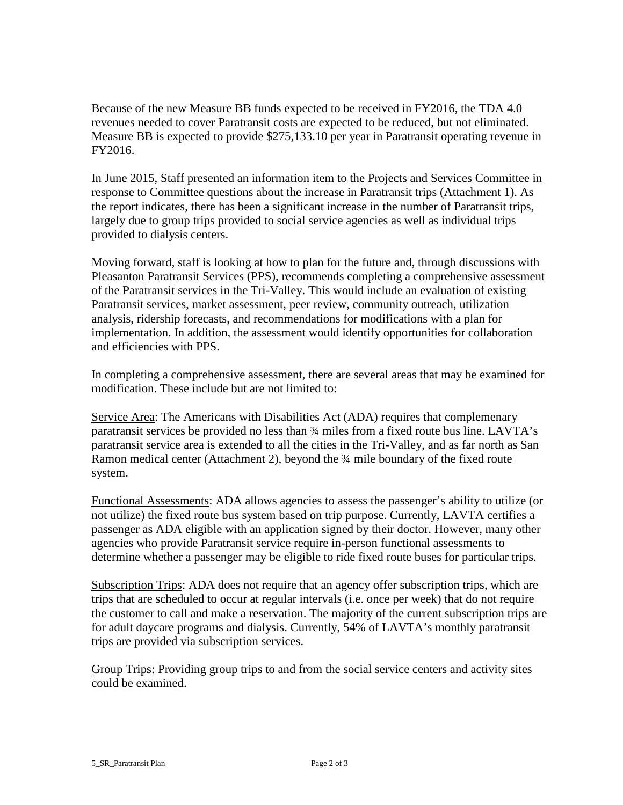Because of the new Measure BB funds expected to be received in FY2016, the TDA 4.0 revenues needed to cover Paratransit costs are expected to be reduced, but not eliminated. Measure BB is expected to provide \$275,133.10 per year in Paratransit operating revenue in FY2016.

In June 2015, Staff presented an information item to the Projects and Services Committee in response to Committee questions about the increase in Paratransit trips (Attachment 1). As the report indicates, there has been a significant increase in the number of Paratransit trips, largely due to group trips provided to social service agencies as well as individual trips provided to dialysis centers.

Moving forward, staff is looking at how to plan for the future and, through discussions with Pleasanton Paratransit Services (PPS), recommends completing a comprehensive assessment of the Paratransit services in the Tri-Valley. This would include an evaluation of existing Paratransit services, market assessment, peer review, community outreach, utilization analysis, ridership forecasts, and recommendations for modifications with a plan for implementation. In addition, the assessment would identify opportunities for collaboration and efficiencies with PPS.

In completing a comprehensive assessment, there are several areas that may be examined for modification. These include but are not limited to:

Service Area: The Americans with Disabilities Act (ADA) requires that complemenary paratransit services be provided no less than ¾ miles from a fixed route bus line. LAVTA's paratransit service area is extended to all the cities in the Tri-Valley, and as far north as San Ramon medical center (Attachment 2), beyond the 3/4 mile boundary of the fixed route system.

Functional Assessments: ADA allows agencies to assess the passenger's ability to utilize (or not utilize) the fixed route bus system based on trip purpose. Currently, LAVTA certifies a passenger as ADA eligible with an application signed by their doctor. However, many other agencies who provide Paratransit service require in-person functional assessments to determine whether a passenger may be eligible to ride fixed route buses for particular trips.

Subscription Trips: ADA does not require that an agency offer subscription trips, which are trips that are scheduled to occur at regular intervals (i.e. once per week) that do not require the customer to call and make a reservation. The majority of the current subscription trips are for adult daycare programs and dialysis. Currently, 54% of LAVTA's monthly paratransit trips are provided via subscription services.

Group Trips: Providing group trips to and from the social service centers and activity sites could be examined.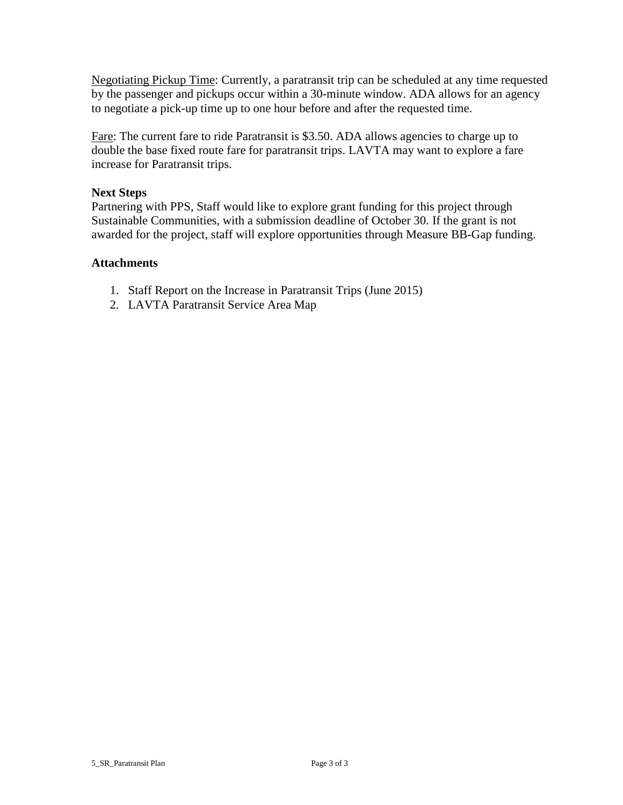Negotiating Pickup Time: Currently, a paratransit trip can be scheduled at any time requested by the passenger and pickups occur within a 30-minute window. ADA allows for an agency to negotiate a pick-up time up to one hour before and after the requested time.

Fare: The current fare to ride Paratransit is \$3.50. ADA allows agencies to charge up to double the base fixed route fare for paratransit trips. LAVTA may want to explore a fare increase for Paratransit trips.

# **Next Steps**

Partnering with PPS, Staff would like to explore grant funding for this project through Sustainable Communities, with a submission deadline of October 30. If the grant is not awarded for the project, staff will explore opportunities through Measure BB-Gap funding.

## **Attachments**

- 1. Staff Report on the Increase in Paratransit Trips (June 2015)
- 2. LAVTA Paratransit Service Area Map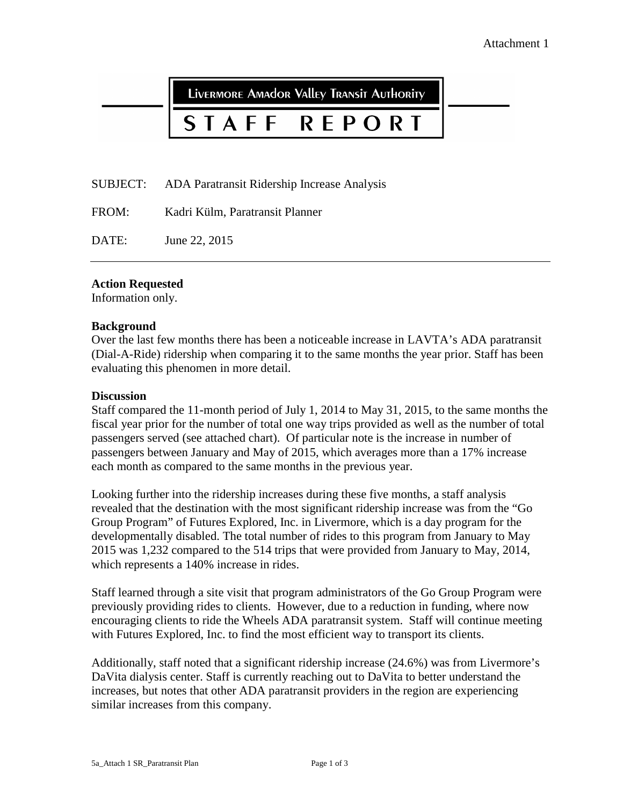LIVERMORE AMAdOR VAllEY TRANSIT AUTHORITY

# STAFF **REPORT**

SUBJECT: ADA Paratransit Ridership Increase Analysis

FROM: Kadri Külm, Paratransit Planner

DATE: June 22, 2015

## **Action Requested**

Information only.

#### **Background**

Over the last few months there has been a noticeable increase in LAVTA's ADA paratransit (Dial-A-Ride) ridership when comparing it to the same months the year prior. Staff has been evaluating this phenomen in more detail.

#### **Discussion**

Staff compared the 11-month period of July 1, 2014 to May 31, 2015, to the same months the fiscal year prior for the number of total one way trips provided as well as the number of total passengers served (see attached chart). Of particular note is the increase in number of passengers between January and May of 2015, which averages more than a 17% increase each month as compared to the same months in the previous year.

Looking further into the ridership increases during these five months, a staff analysis revealed that the destination with the most significant ridership increase was from the "Go Group Program" of Futures Explored, Inc. in Livermore, which is a day program for the developmentally disabled. The total number of rides to this program from January to May 2015 was 1,232 compared to the 514 trips that were provided from January to May, 2014, which represents a 140% increase in rides.

Staff learned through a site visit that program administrators of the Go Group Program were previously providing rides to clients. However, due to a reduction in funding, where now encouraging clients to ride the Wheels ADA paratransit system. Staff will continue meeting with Futures Explored, Inc. to find the most efficient way to transport its clients.

Additionally, staff noted that a significant ridership increase (24.6%) was from Livermore's DaVita dialysis center. Staff is currently reaching out to DaVita to better understand the increases, but notes that other ADA paratransit providers in the region are experiencing similar increases from this company.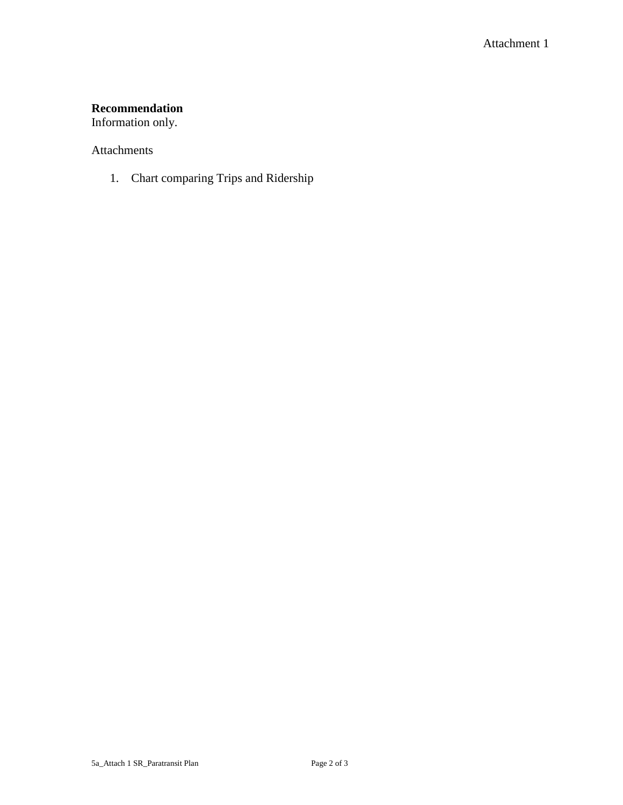# **Recommendation**

Information only.

## Attachments

1. Chart comparing Trips and Ridership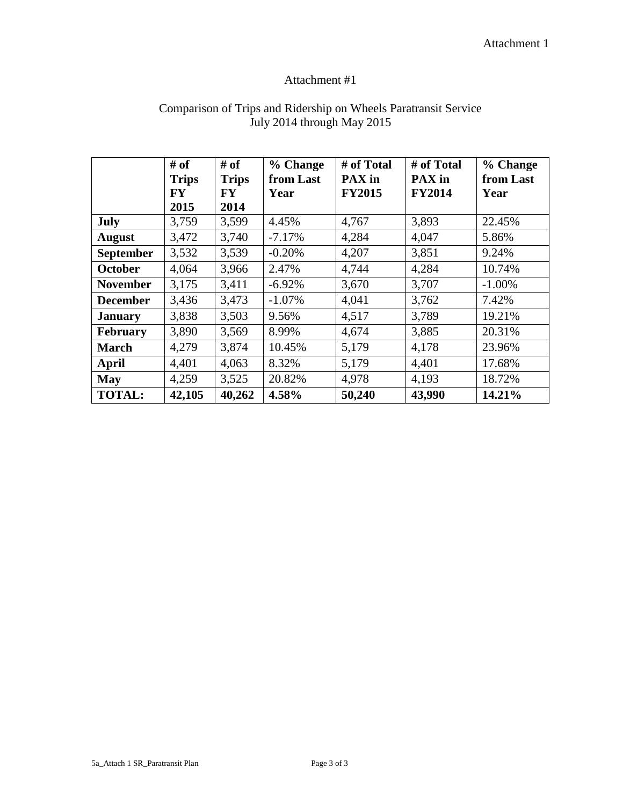# Attachment #1

|                  | # of<br><b>Trips</b><br>FY<br>2015 | # of<br><b>Trips</b><br>FY<br>2014 | % Change<br>from Last<br>Year | # of Total<br>PAX in<br><b>FY2015</b> | # of Total<br>PAX in<br><b>FY2014</b> | % Change<br>from Last<br>Year |
|------------------|------------------------------------|------------------------------------|-------------------------------|---------------------------------------|---------------------------------------|-------------------------------|
| July             | 3,759                              | 3,599                              | 4.45%                         | 4,767                                 | 3,893                                 | 22.45%                        |
| <b>August</b>    | 3,472                              | 3,740                              | $-7.17%$                      | 4,284                                 | 4,047                                 | 5.86%                         |
| <b>September</b> | 3,532                              | 3,539                              | $-0.20%$                      | 4,207                                 | 3,851                                 | 9.24%                         |
| <b>October</b>   | 4,064                              | 3,966                              | 2.47%                         | 4,744                                 | 4,284                                 | 10.74%                        |
| <b>November</b>  | 3,175                              | 3,411                              | $-6.92%$                      | 3,670                                 | 3,707                                 | $-1.00%$                      |
| <b>December</b>  | 3,436                              | 3,473                              | $-1.07%$                      | 4,041                                 | 3,762                                 | 7.42%                         |
| <b>January</b>   | 3,838                              | 3,503                              | 9.56%                         | 4,517                                 | 3,789                                 | 19.21%                        |
| <b>February</b>  | 3,890                              | 3,569                              | 8.99%                         | 4,674                                 | 3,885                                 | 20.31%                        |
| <b>March</b>     | 4,279                              | 3,874                              | 10.45%                        | 5,179                                 | 4,178                                 | 23.96%                        |
| April            | 4,401                              | 4,063                              | 8.32%                         | 5,179                                 | 4,401                                 | 17.68%                        |
| <b>May</b>       | 4,259                              | 3,525                              | 20.82%                        | 4,978                                 | 4,193                                 | 18.72%                        |
| <b>TOTAL:</b>    | 42,105                             | 40,262                             | 4.58%                         | 50,240                                | 43,990                                | 14.21%                        |

# Comparison of Trips and Ridership on Wheels Paratransit Service July 2014 through May 2015